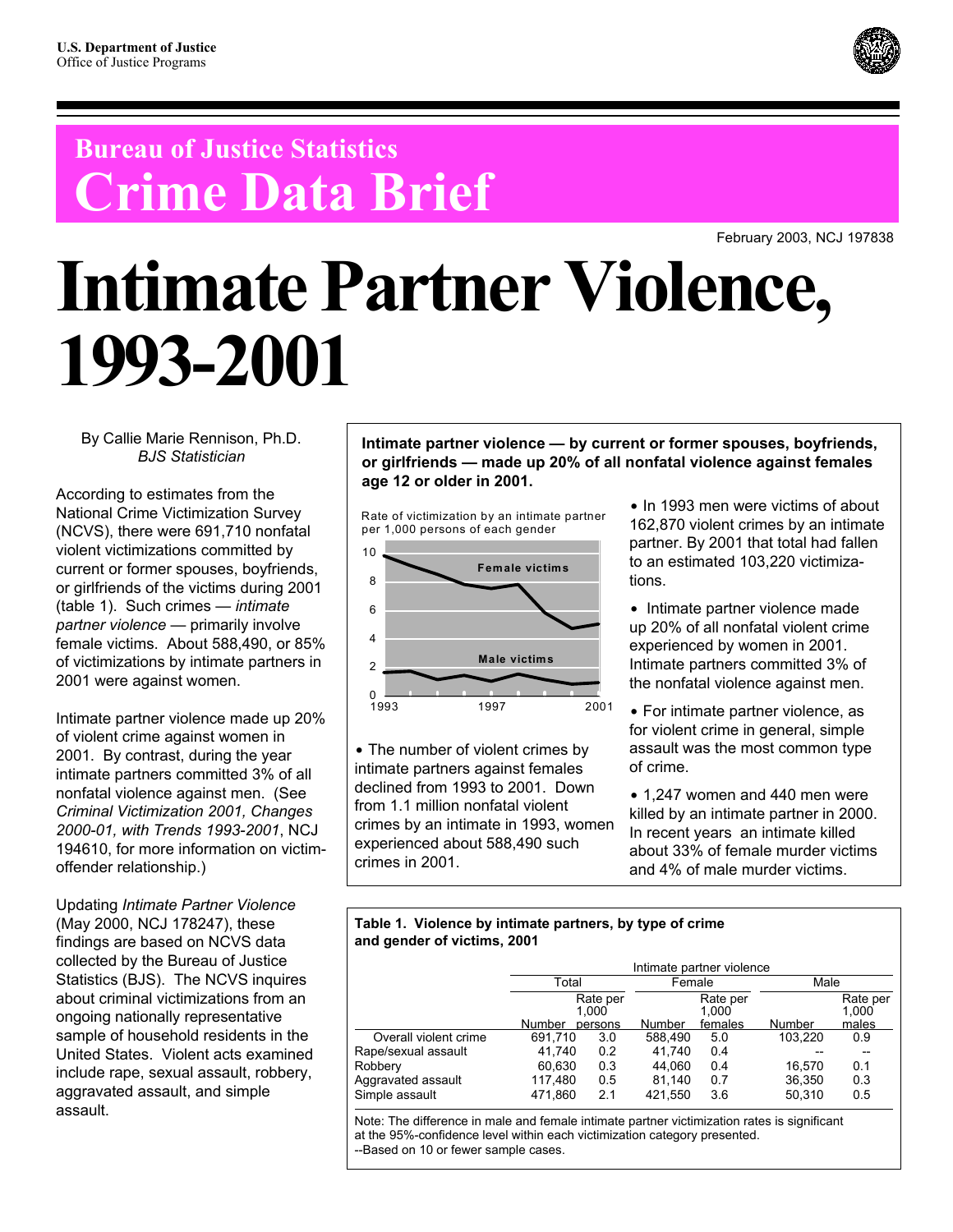## **Bureau of Justice Statistics Crime Data Brief**

February 2003, NCJ 197838

# **Intimate Partner Violence, 1993-2001**

By Callie Marie Rennison, Ph.D. *BJS Statistician*

According to estimates from the National Crime Victimization Survey (NCVS), there were 691,710 nonfatal violent victimizations committed by current or former spouses, boyfriends, or girlfriends of the victims during 2001 (table 1). Such crimes — *intimate partner violence* — primarily involve female victims. About 588,490, or 85% of victimizations by intimate partners in 2001 were against women.

Intimate partner violence made up 20% of violent crime against women in 2001. By contrast, during the year intimate partners committed 3% of all nonfatal violence against men. (See *Criminal Victimization 2001, Changes 2000-01, with Trends 1993-2001*, NCJ 194610, for more information on victimoffender relationship.)

Updating *Intimate Partner Violence* (May 2000, NCJ 178247), these findings are based on NCVS data collected by the Bureau of Justice Statistics (BJS). The NCVS inquires about criminal victimizations from an ongoing nationally representative sample of household residents in the United States. Violent acts examined include rape, sexual assault, robbery, aggravated assault, and simple assault.

**Intimate partner violence — by current or former spouses, boyfriends, or girlfriends — made up 20% of all nonfatal violence against females age 12 or older in 2001.** 

Rate of victimization by an intimate partner per 1,000 persons of each gender



• The number of violent crimes by intimate partners against females declined from 1993 to 2001. Down from 1.1 million nonfatal violent crimes by an intimate in 1993, women experienced about 588,490 such crimes in 2001.

 $\bullet$  In 1993 men were victims of about 162,870 violent crimes by an intimate partner. By 2001 that total had fallen to an estimated 103,220 victimizations.

• Intimate partner violence made up 20% of all nonfatal violent crime experienced by women in 2001. Intimate partners committed 3% of the nonfatal violence against men.

• For intimate partner violence, as for violent crime in general, simple assault was the most common type of crime.

 $\bullet$  1.247 women and 440 men were killed by an intimate partner in 2000. In recent years an intimate killed about 33% of female murder victims and 4% of male murder victims.

### **Table 1. Violence by intimate partners, by type of crime and gender of victims, 2001**

|                       | Intimate partner violence |                   |         |                   |         |                   |  |  |  |
|-----------------------|---------------------------|-------------------|---------|-------------------|---------|-------------------|--|--|--|
|                       | Total                     |                   | Female  |                   | Male    |                   |  |  |  |
|                       |                           | Rate per<br>1.000 |         | Rate per<br>1.000 |         | Rate per<br>1.000 |  |  |  |
|                       | Number                    | persons           | Number  | females           | Number  | males             |  |  |  |
| Overall violent crime | 691.710                   | 3.0               | 588.490 | 5.0               | 103.220 | 0.9               |  |  |  |
| Rape/sexual assault   | 41.740                    | 0.2               | 41.740  | 0.4               |         |                   |  |  |  |
| Robbery               | 60,630                    | 0.3               | 44,060  | 0.4               | 16.570  | 0.1               |  |  |  |
| Aggravated assault    | 117,480                   | 0.5               | 81.140  | 0.7               | 36.350  | 0.3               |  |  |  |
| Simple assault        | 471.860                   | 2.1               | 421.550 | 3.6               | 50,310  | 0.5               |  |  |  |

Note: The difference in male and female intimate partner victimization rates is significant at the 95%-confidence level within each victimization category presented. --Based on 10 or fewer sample cases.